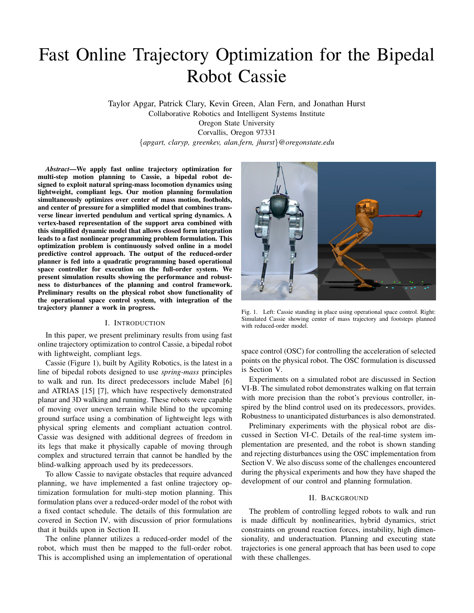# Fast Online Trajectory Optimization for the Bipedal Robot Cassie

Taylor Apgar, Patrick Clary, Kevin Green, Alan Fern, and Jonathan Hurst Collaborative Robotics and Intelligent Systems Institute Oregon State University Corvallis, Oregon 97331 {*apgart, claryp, greenkev, alan.fern, jhurst*}*@oregonstate.edu*

*Abstract*—We apply fast online trajectory optimization for multi-step motion planning to Cassie, a bipedal robot designed to exploit natural spring-mass locomotion dynamics using lightweight, compliant legs. Our motion planning formulation simultaneously optimizes over center of mass motion, footholds, and center of pressure for a simplified model that combines transverse linear inverted pendulum and vertical spring dynamics. A vertex-based representation of the support area combined with this simplified dynamic model that allows closed form integration leads to a fast nonlinear programming problem formulation. This optimization problem is continuously solved online in a model predictive control approach. The output of the reduced-order planner is fed into a quadratic programming based operational space controller for execution on the full-order system. We present simulation results showing the performance and robustness to disturbances of the planning and control framework. Preliminary results on the physical robot show functionality of the operational space control system, with integration of the trajectory planner a work in progress.

## I. INTRODUCTION

In this paper, we present preliminary results from using fast online trajectory optimization to control Cassie, a bipedal robot with lightweight, compliant legs.

Cassie (Figure [1\)](#page-0-0), built by Agility Robotics, is the latest in a line of bipedal robots designed to use *spring-mass* principles to walk and run. Its direct predecessors include Mabel [\[6\]](#page-7-0) and ATRIAS [\[15\]](#page-7-1) [\[7\]](#page-7-2), which have respectively demonstrated planar and 3D walking and running. These robots were capable of moving over uneven terrain while blind to the upcoming ground surface using a combination of lightweight legs with physical spring elements and compliant actuation control. Cassie was designed with additional degrees of freedom in its legs that make it physically capable of moving through complex and structured terrain that cannot be handled by the blind-walking approach used by its predecessors.

To allow Cassie to navigate obstacles that require advanced planning, we have implemented a fast online trajectory optimization formulation for multi-step motion planning. This formulation plans over a reduced-order model of the robot with a fixed contact schedule. The details of this formulation are covered in Section [IV,](#page-2-0) with discussion of prior formulations that it builds upon in Section [II.](#page-0-1)

The online planner utilizes a reduced-order model of the robot, which must then be mapped to the full-order robot. This is accomplished using an implementation of operational



Fig. 1. Left: Cassie standing in place using operational space control. Right: Simulated Cassie showing center of mass trajectory and footsteps planned with reduced-order model.

<span id="page-0-0"></span>space control (OSC) for controlling the acceleration of selected points on the physical robot. The OSC formulation is discussed is Section [V.](#page-4-0)

Experiments on a simulated robot are discussed in Section [VI-B.](#page-5-0) The simulated robot demonstrates walking on flat terrain with more precision than the robot's previous controller, inspired by the blind control used on its predecessors, provides. Robustness to unanticipated disturbances is also demonstrated.

Preliminary experiments with the physical robot are discussed in Section [VI-C.](#page-6-0) Details of the real-time system implementation are presented, and the robot is shown standing and rejecting disturbances using the OSC implementation from Section [V.](#page-4-0) We also discuss some of the challenges encountered during the physical experiments and how they have shaped the development of our control and planning formulation.

## II. BACKGROUND

<span id="page-0-1"></span>The problem of controlling legged robots to walk and run is made difficult by nonlinearities, hybrid dynamics, strict constraints on ground reaction forces, instability, high dimensionality, and underactuation. Planning and executing state trajectories is one general approach that has been used to cope with these challenges.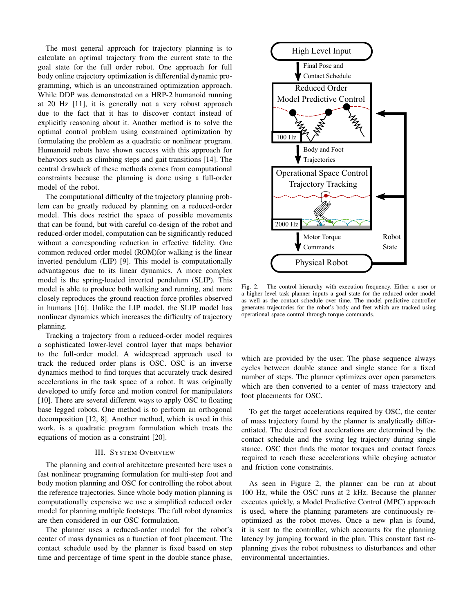The most general approach for trajectory planning is to calculate an optimal trajectory from the current state to the goal state for the full order robot. One approach for full body online trajectory optimization is differential dynamic programming, which is an unconstrained optimization approach. While DDP was demonstrated on a HRP-2 humanoid running at 20 Hz [\[11\]](#page-7-3), it is generally not a very robust approach due to the fact that it has to discover contact instead of explicitly reasoning about it. Another method is to solve the optimal control problem using constrained optimization by formulating the problem as a quadratic or nonlinear program. Humanoid robots have shown success with this approach for behaviors such as climbing steps and gait transitions [\[14\]](#page-7-4). The central drawback of these methods comes from computational constraints because the planning is done using a full-order model of the robot.

The computational difficulty of the trajectory planning problem can be greatly reduced by planning on a reduced-order model. This does restrict the space of possible movements that can be found, but with careful co-design of the robot and reduced-order model, computation can be significantly reduced without a corresponding reduction in effective fidelity. One common reduced order model (ROM)for walking is the linear inverted pendulum (LIP) [\[9\]](#page-7-5). This model is computationally advantageous due to its linear dynamics. A more complex model is the spring-loaded inverted pendulum (SLIP). This model is able to produce both walking and running, and more closely reproduces the ground reaction force profiles observed in humans [\[16\]](#page-7-6). Unlike the LIP model, the SLIP model has nonlinear dynamics which increases the difficulty of trajectory planning.

Tracking a trajectory from a reduced-order model requires a sophisticated lower-level control layer that maps behavior to the full-order model. A widespread approach used to track the reduced order plans is OSC. OSC is an inverse dynamics method to find torques that accurately track desired accelerations in the task space of a robot. It was originally developed to unify force and motion control for manipulators [\[10\]](#page-7-7). There are several different ways to apply OSC to floating base legged robots. One method is to perform an orthogonal decomposition [\[12,](#page-7-8) [8\]](#page-7-9). Another method, which is used in this work, is a quadratic program formulation which treats the equations of motion as a constraint [\[20\]](#page-7-10).

## III. SYSTEM OVERVIEW

The planning and control architecture presented here uses a fast nonlinear programing formulation for multi-step foot and body motion planning and OSC for controlling the robot about the reference trajectories. Since whole body motion planning is computationally expensive we use a simplified reduced order model for planning multiple footsteps. The full robot dynamics are then considered in our OSC formulation.

The planner uses a reduced-order model for the robot's center of mass dynamics as a function of foot placement. The contact schedule used by the planner is fixed based on step time and percentage of time spent in the double stance phase,



<span id="page-1-0"></span>Fig. 2. The control hierarchy with execution frequency. Either a user or a higher level task planner inputs a goal state for the reduced order model as well as the contact schedule over time. The model predictive controller generates trajectories for the robot's body and feet which are tracked using operational space control through torque commands.

which are provided by the user. The phase sequence always cycles between double stance and single stance for a fixed number of steps. The planner optimizes over open parameters which are then converted to a center of mass trajectory and foot placements for OSC.

To get the target accelerations required by OSC, the center of mass trajectory found by the planner is analytically differentiated. The desired foot accelerations are determined by the contact schedule and the swing leg trajectory during single stance. OSC then finds the motor torques and contact forces required to reach these accelerations while obeying actuator and friction cone constraints.

As seen in Figure [2,](#page-1-0) the planner can be run at about 100 Hz, while the OSC runs at 2 kHz. Because the planner executes quickly, a Model Predictive Control (MPC) approach is used, where the planning parameters are continuously reoptimized as the robot moves. Once a new plan is found, it is sent to the controller, which accounts for the planning latency by jumping forward in the plan. This constant fast replanning gives the robot robustness to disturbances and other environmental uncertainties.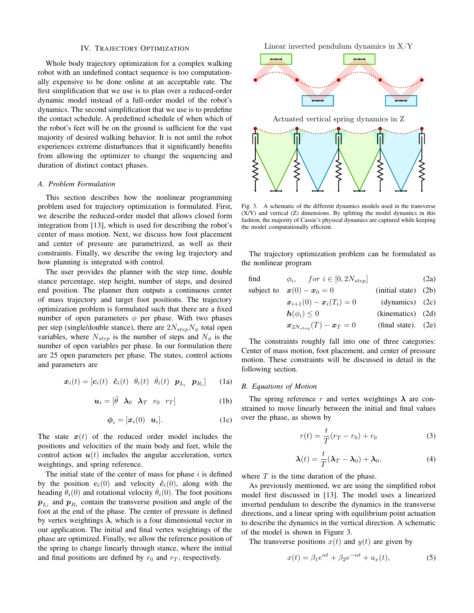#### IV. TRAJECTORY OPTIMIZATION

<span id="page-2-0"></span>Whole body trajectory optimization for a complex walking robot with an undefined contact sequence is too computationally expensive to be done online at an acceptable rate. The first simplification that we use is to plan over a reduced-order dynamic model instead of a full-order model of the robot's dynamics. The second simplification that we use is to predefine the contact schedule. A predefined schedule of when which of the robot's feet will be on the ground is sufficient for the vast majority of desired walking behavior. It is not until the robot experiences extreme disturbances that it significantly benefits from allowing the optimizer to change the sequencing and duration of distinct contact phases.

### *A. Problem Formulation*

This section describes how the nonlinear programming problem used for trajectory optimization is formulated. First, we describe the reduced-order model that allows closed form integration from [\[13\]](#page-7-11), which is used for describing the robot's center of mass motion. Next, we discuss how foot placement and center of pressure are parametrized, as well as their constraints. Finally, we describe the swing leg trajectory and how planning is integrated with control.

The user provides the planner with the step time, double stance percentage, step height, number of steps, and desired end position. The planner then outputs a continuous center of mass trajectory and target foot positions. The trajectory optimization problem is formulated such that there are a fixed number of open parameters  $\phi$  per phase. With two phases per step (single/double stance), there are  $2N_{step}N_{\phi}$  total open variables, where  $N_{\text{step}}$  is the number of steps and  $N_{\phi}$  is the number of open variables per phase. In our formulation there are 25 open parameters per phase. The states, control actions and parameters are

$$
\boldsymbol{x}_i(t) = [\boldsymbol{c}_i(t) \quad \dot{\boldsymbol{c}}_i(t) \quad \theta_i(t) \quad \dot{\theta}_i(t) \quad \boldsymbol{p}_{L_i} \quad \boldsymbol{p}_{R_i}] \tag{1a}
$$

$$
\boldsymbol{u}_i = \begin{bmatrix} \ddot{\theta} & \boldsymbol{\lambda}_0 & \boldsymbol{\lambda}_T & r_0 & r_T \end{bmatrix} \tag{1b}
$$

$$
\boldsymbol{\phi}_i = [\boldsymbol{x}_i(0) \quad \boldsymbol{u}_i]. \tag{1c}
$$

The state  $x(t)$  of the reduced order model includes the positions and velocities of the main body and feet, while the control action  $u(t)$  includes the angular acceleration, vertex weightings, and spring reference.

The initial state of the center of mass for phase  $i$  is defined by the position  $c_i(0)$  and velocity  $\dot{c}_i(0)$ , along with the heading  $\theta_i(0)$  and rotational velocity  $\theta_i(0)$ . The foot positions  $p_{L_i}$  and  $p_{R_i}$  contain the transverse position and angle of the foot at the end of the phase. The center of pressure is defined by vertex weightings  $\lambda$ , which is a four dimensional vector in our application. The initial and final vertex weightings of the phase are optimized. Finally, we allow the reference position of the spring to change linearly through stance, where the initial and final positions are defined by  $r_0$  and  $r_T$ , respectively.

Linear inverted pendulum dynamics in  $X/Y$ 



<span id="page-2-1"></span>Fig. 3. A schematic of the different dynamics models used in the transverse (X/Y) and vertical (Z) dimensions. By splitting the model dynamics in this fashion, the majority of Cassie's physical dynamics are captured while keeping the model computationally efficient.

The trajectory optimization problem can be formulated as the nonlinear program

find 
$$
\phi_i
$$
, for  $i \in [0, 2N_{step}]$  (2a)

subject to 
$$
\mathbf{x}(0) - \mathbf{x}_0 = 0
$$
 (initial state) (2b)

$$
x_{i+1}(0) - x_i(T_i) = 0
$$
 (dynamics) (2c)

$$
h(\phi_i) \le 0 \qquad \qquad \text{(kinematics)} \quad (2d)
$$

$$
x_{2N_{step}}(T) - x_T = 0
$$
 (final state). (2e)

The constraints roughly fall into one of three categories: Center of mass motion, foot placement, and center of pressure motion. These constraints will be discussed in detail in the following section.

#### <span id="page-2-2"></span>*B. Equations of Motion*

The spring reference r and vertex weightings  $\lambda$  are constrained to move linearly between the initial and final values over the phase, as shown by

$$
r(t) = \frac{t}{T}(r_T - r_0) + r_0
$$
 (3)

<span id="page-2-3"></span>
$$
\boldsymbol{\lambda}(t) = \frac{t}{T}(\boldsymbol{\lambda}_T - \boldsymbol{\lambda}_0) + \boldsymbol{\lambda}_0, \tag{4}
$$

where  $T$  is the time duration of the phase.

As previously mentioned, we are using the simplified robot model first discussed in [\[13\]](#page-7-11). The model uses a linearized inverted pendulum to describe the dynamics in the transverse directions, and a linear spring with equilibrium point actuation to describe the dynamics in the vertical direction. A schematic of the model is shown in Figure [3.](#page-2-1)

The transverse positions  $x(t)$  and  $y(t)$  are given by

$$
x(t) = \beta_1 e^{\alpha t} + \beta_2 e^{-\alpha t} + u_x(t), \tag{5}
$$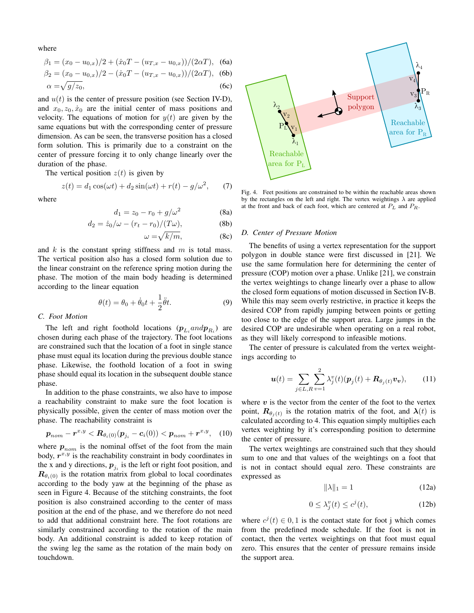where

$$
\beta_1 = (x_0 - u_{0,x})/2 + (\dot{x}_0 T - (u_{T,x} - u_{0,x}))/(2\alpha T),
$$
 (6a)

$$
\beta_2 = (x_0 - u_{0,x})/2 - (\dot{x}_0 T - (u_{T,x} - u_{0,x}))/(2\alpha T),
$$
 (6b)

$$
\alpha = \sqrt{g/z_0},\tag{6c}
$$

and  $u(t)$  is the center of pressure position (see Section [IV-D\)](#page-3-0), and  $x_0, z_0, \dot{x}_0$  are the initial center of mass positions and velocity. The equations of motion for  $y(t)$  are given by the same equations but with the corresponding center of pressure dimension. As can be seen, the transverse position has a closed form solution. This is primarily due to a constraint on the center of pressure forcing it to only change linearly over the duration of the phase.

The vertical position  $z(t)$  is given by

$$
z(t) = d_1 \cos(\omega t) + d_2 \sin(\omega t) + r(t) - g/\omega^2, \qquad (7)
$$

where

$$
d_1 = z_0 - r_0 + g/\omega^2 \tag{8a}
$$

$$
d_2 = \dot{z}_0/\omega - (r_t - r_0)/(T\omega), \tag{8b}
$$

$$
\omega = \sqrt{k/m},\tag{8c}
$$

and  $k$  is the constant spring stiffness and  $m$  is total mass. The vertical position also has a closed form solution due to the linear constraint on the reference spring motion during the phase. The motion of the main body heading is determined according to the linear equation

$$
\theta(t) = \theta_0 + \dot{\theta}_0 t + \frac{1}{2}\ddot{\theta}t.
$$
\n(9)

#### *C. Foot Motion*

The left and right foothold locations  $(p_{L_i} and p_{R_i})$  are chosen during each phase of the trajectory. The foot locations are constrained such that the location of a foot in single stance phase must equal its location during the previous double stance phase. Likewise, the foothold location of a foot in swing phase should equal its location in the subsequent double stance phase.

In addition to the phase constraints, we also have to impose a reachability constraint to make sure the foot location is physically possible, given the center of mass motion over the phase. The reachability constraint is

$$
\boldsymbol{p}_{nom} - \boldsymbol{r}^{x,y} < \boldsymbol{R}_{\theta_i(0)}(\boldsymbol{p}_{j_i} - \boldsymbol{c}_i(0)) < \boldsymbol{p}_{nom} + \boldsymbol{r}^{x,y}, \quad (10)
$$

where  $p_{nom}$  is the nominal offset of the foot from the main body,  $r^{x,y}$  is the reachability constraint in body coordinates in the x and y directions,  $p_{j_i}$  is the left or right foot position, and  $\mathbf{R}_{\theta_i(0)}$  is the rotation matrix from global to local coordinates according to the body yaw at the beginning of the phase as seen in Figure [4.](#page-3-1) Because of the stitching constraints, the foot position is also constrained according to the center of mass position at the end of the phase, and we therefore do not need to add that additional constraint here. The foot rotations are similarly constrained according to the rotation of the main body. An additional constraint is added to keep rotation of the swing leg the same as the rotation of the main body on sum equations but which corresponding untier of pressum contains in the container of the phase. The spin particular contains the contain of the phase. The vertical position is particular to the phase in the phase.  $z(t) = d_$ 



<span id="page-3-1"></span>Fig. 4. Feet positions are constrained to be within the reachable areas shown by the rectangles on the left and right. The vertex weightings  $\lambda$  are applied at the front and back of each foot, which are centered at  $P_L$  and  $P_R$ .

#### <span id="page-3-0"></span>*D. Center of Pressure Motion*

The benefits of using a vertex representation for the support polygon in double stance were first discussed in [\[21\]](#page-7-12). We use the same formulation here for determining the center of pressure (COP) motion over a phase. Unlike [\[21\]](#page-7-12), we constrain the vertex weightings to change linearly over a phase to allow the closed form equations of motion discussed in Section [IV-B.](#page-2-2) While this may seem overly restrictive, in practice it keeps the desired COP from rapidly jumping between points or getting too close to the edge of the support area. Large jumps in the desired COP are undesirable when operating on a real robot, as they will likely correspond to infeasible motions.

The center of pressure is calculated from the vertex weightings according to

$$
\boldsymbol{u}(t) = \sum_{j \in L, R} \sum_{v=1}^{2} \lambda_j^v(t) (\boldsymbol{p}_j(t) + \boldsymbol{R}_{\theta_j(t)} \boldsymbol{v}_v), \qquad (11)
$$

where  $v$  is the vector from the center of the foot to the vertex point,  $\mathbf{R}_{\theta_j(t)}$  is the rotation matrix of the foot, and  $\lambda(t)$  is calculated according to [4.](#page-2-3) This equation simply multiplies each vertex weighting by it's corresponding position to determine the center of pressure.

The vertex weightings are constrained such that they should sum to one and that values of the weightings on a foot that is not in contact should equal zero. These constraints are expressed as

$$
\|\lambda\|_1 = 1\tag{12a}
$$

$$
0 \le \lambda_j^v(t) \le c^j(t),\tag{12b}
$$

where  $c^{j}(t) \in 0, 1$  is the contact state for foot j which comes from the predefined mode schedule. If the foot is not in contact, then the vertex weightings on that foot must equal zero. This ensures that the center of pressure remains inside the support area.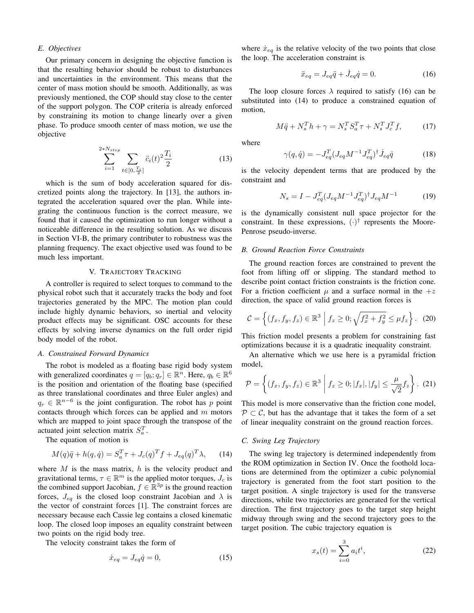#### *E. Objectives*

Our primary concern in designing the objective function is that the resulting behavior should be robust to disturbances and uncertainties in the environment. This means that the center of mass motion should be smooth. Additionally, as was previously mentioned, the COP should stay close to the center of the support polygon. The COP criteria is already enforced by constraining its motion to change linearly over a given phase. To produce smooth center of mass motion, we use the objective

<span id="page-4-3"></span>
$$
\sum_{i=1}^{2*N_{step}} \sum_{t \in [0, \frac{T_i}{2}]} \ddot{c}_i(t)^2 \frac{T_i}{2}
$$
 (13)

which is the sum of body acceleration squared for discretized points along the trajectory. In [\[13\]](#page-7-11), the authors integrated the acceleration squared over the plan. While integrating the continuous function is the correct measure, we found that it caused the optimization to run longer without a noticeable difference in the resulting solution. As we discuss in Section [VI-B,](#page-5-0) the primary contributer to robustness was the planning frequency. The exact objective used was found to be much less important.

## V. TRAJECTORY TRACKING

<span id="page-4-0"></span>A controller is required to select torques to command to the physical robot such that it accurately tracks the body and foot trajectories generated by the MPC. The motion plan could include highly dynamic behaviors, so inertial and velocity product effects may be significant. OSC accounts for these effects by solving inverse dynamics on the full order rigid body model of the robot.

## *A. Constrained Forward Dynamics*

The robot is modeled as a floating base rigid body system with generalized coordinates  $q = [q_b; q_r] \in \mathbb{R}^n$ . Here,  $q_b \in \mathbb{R}^6$ is the position and orientation of the floating base (specified as three translational coordinates and three Euler angles) and  $q_r \in \mathbb{R}^{n-6}$  is the joint configuration. The robot has p point contacts through which forces can be applied and  $m$  motors which are mapped to joint space through the transpose of the actuated joint selection matrix  $S_a^T$ .

The equation of motion is

<span id="page-4-2"></span>
$$
M(q)\ddot{q} + h(q, \dot{q}) = S_a^T \tau + J_c(q)^T f + J_{eq}(q)^T \lambda, \qquad (14)
$$

where  $M$  is the mass matrix,  $h$  is the velocity product and gravitational terms,  $\tau \in \mathbb{R}^m$  is the applied motor torques,  $J_c$  is the combined support Jacobian,  $f \in \mathbb{R}^{3p}$  is the ground reaction forces,  $J_{eq}$  is the closed loop constraint Jacobian and  $\lambda$  is the vector of constraint forces [\[1\]](#page-6-1). The constraint forces are necessary because each Cassie leg contains a closed kinematic loop. The closed loop imposes an equality constraint between two points on the rigid body tree.

The velocity constraint takes the form of

$$
\dot{x}_{eq} = J_{eq}\dot{q} = 0,\tag{15}
$$

where  $\dot{x}_{eq}$  is the relative velocity of the two points that close the loop. The acceleration constraint is

<span id="page-4-1"></span>
$$
\ddot{x}_{eq} = J_{eq}\ddot{q} + \dot{J}_{eq}\dot{q} = 0. \tag{16}
$$

The loop closure forces  $\lambda$  required to satisfy [\(16\)](#page-4-1) can be substituted into [\(14\)](#page-4-2) to produce a constrained equation of motion,

$$
M\ddot{q} + N_s^T h + \gamma = N_s^T S_a^T \tau + N_s^T J_c^T f,\tag{17}
$$

where

$$
\gamma(q, \dot{q}) = -J_{eq}^{T} (J_{eq} M^{-1} J_{eq}^{T})^{\dagger} \dot{J}_{eq} \dot{q}
$$
 (18)

is the velocity dependent terms that are produced by the constraint and

$$
N_s = I - J_{eq}^T (J_{eq} M^{-1} J_{eq}^T)^{\dagger} J_{eq} M^{-1}
$$
 (19)

is the dynamically consistent null space projector for the constraint. In these expressions,  $(\cdot)^\dagger$  represents the Moore-Penrose pseudo-inverse.

## *B. Ground Reaction Force Constraints*

The ground reaction forces are constrained to prevent the foot from lifting off or slipping. The standard method to describe point contact friction constraints is the friction cone. For a friction coefficient  $\mu$  and a surface normal in the  $+z$ direction, the space of valid ground reaction forces is

$$
\mathcal{C} = \left\{ (f_x, f_y, f_z) \in \mathbb{R}^3 \middle| f_z \ge 0; \sqrt{f_x^2 + f_y^2} \le \mu f_z \right\}. (20)
$$

This friction model presents a problem for constraining fast optimizations because it is a quadratic inequality constraint.

An alternative which we use here is a pyramidal friction model,

$$
\mathcal{P} = \left\{ (f_x, f_y, f_z) \in \mathbb{R}^3 \middle| f_z \ge 0; |f_x|, |f_y| \le \frac{\mu}{\sqrt{2}} f_z \right\}.
$$
 (21)

This model is more conservative than the friction cone model,  $P \subset C$ , but has the advantage that it takes the form of a set of linear inequality constraint on the ground reaction forces.

#### *C. Swing Leg Trajectory*

The swing leg trajectory is determined independently from the ROM optimization in Section [IV.](#page-2-0) Once the foothold locations are determined from the optimizer a cubic polynomial trajectory is generated from the foot start position to the target position. A single trajectory is used for the transverse directions, while two trajectories are generated for the vertical direction. The first trajectory goes to the target step height midway through swing and the second trajectory goes to the target position. The cubic trajectory equation is

$$
x_s(t) = \sum_{i=0}^{3} a_i t^i,
$$
 (22)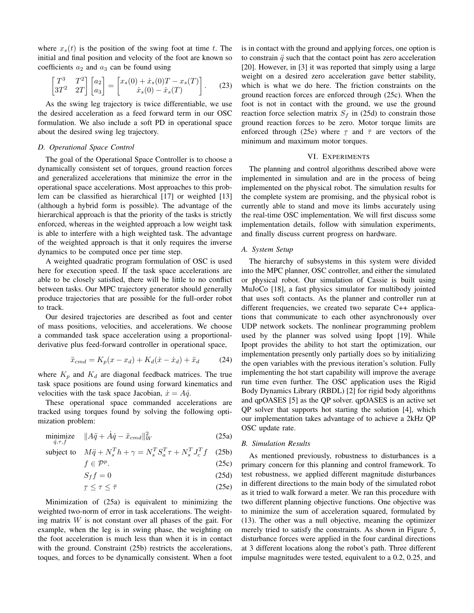where  $x<sub>s</sub>(t)$  is the position of the swing foot at time t. The initial and final position and velocity of the foot are known so coefficients  $a_2$  and  $a_3$  can be found using

$$
\begin{bmatrix} T^3 & T^2 \\ 3T^2 & 2T \end{bmatrix} \begin{bmatrix} a_2 \\ a_3 \end{bmatrix} = \begin{bmatrix} x_s(0) + \dot{x}_s(0)T - x_s(T) \\ \dot{x}_s(0) - \dot{x}_s(T) \end{bmatrix} . \tag{23}
$$

As the swing leg trajectory is twice differentiable, we use the desired acceleration as a feed forward term in our OSC formulation. We also include a soft PD in operational space about the desired swing leg trajectory.

#### *D. Operational Space Control*

The goal of the Operational Space Controller is to choose a dynamically consistent set of torques, ground reaction forces and generalized accelerations that minimize the error in the operational space accelerations. Most approaches to this problem can be classified as hierarchical [\[17\]](#page-7-13) or weighted [\[13\]](#page-7-11) (although a hybrid form is possible). The advantage of the hierarchical approach is that the priority of the tasks is strictly enforced, whereas in the weighted approach a low weight task is able to interfere with a high weighted task. The advantage of the weighted approach is that it only requires the inverse dynamics to be computed once per time step.

A weighted quadratic program formulation of OSC is used here for execution speed. If the task space accelerations are able to be closely satisfied, there will be little to no conflict between tasks. Our MPC trajectory generator should generally produce trajectories that are possible for the full-order robot to track.

Our desired trajectories are described as foot and center of mass positions, velocities, and accelerations. We choose a commanded task space acceleration using a proportionalderivative plus feed-forward controller in operational space,

$$
\ddot{x}_{cmd} = K_p(x - x_d) + K_d(\dot{x} - \dot{x}_d) + \ddot{x}_d \tag{24}
$$

where  $K_p$  and  $K_d$  are diagonal feedback matrices. The true task space positions are found using forward kinematics and velocities with the task space Jacobian,  $\dot{x} = A\dot{q}$ .

These operational space commanded accelerations are tracked using torques found by solving the following optimization problem:

$$
\underset{\ddot{q},\tau,f}{\text{minimize}} \quad \|A\ddot{q} + \dot{A}\dot{q} - \ddot{x}_{cmd}\|_{W}^{2}
$$
\n(25a)

subject to  $M\ddot{q} + N_s^T h + \gamma = N_s^T S_a^T \tau + N_s^T J_c^T f$  (25b)

$$
f \in \mathcal{P}^p. \tag{25c}
$$

$$
S_f f = 0 \tag{25d}
$$

$$
\tau \le \tau \le \bar{\tau} \tag{25e}
$$

Minimization of [\(25a\)](#page-5-1) is equivalent to minimizing the weighted two-norm of error in task accelerations. The weighting matrix W is not constant over all phases of the gait. For example, when the leg is in swing phase, the weighting on the foot acceleration is much less than when it is in contact with the ground. Constraint [\(25b\)](#page-5-2) restricts the accelerations, toques, and forces to be dynamically consistent. When a foot is in contact with the ground and applying forces, one option is to constrain  $\ddot{q}$  such that the contact point has zero acceleration [\[20\]](#page-7-10). However, in [\[3\]](#page-6-2) it was reported that simply using a large weight on a desired zero acceleration gave better stability, which is what we do here. The friction constraints on the ground reaction forces are enforced through [\(25c\)](#page-5-3). When the foot is not in contact with the ground, we use the ground reaction force selection matrix  $S_f$  in [\(25d\)](#page-5-4) to constrain those ground reaction forces to be zero. Motor torque limits are enforced through [\(25e\)](#page-5-5) where  $\tau$  and  $\bar{\tau}$  are vectors of the  $\frac{1}{2}$  and motor and maximum motor torques.

## VI. EXPERIMENTS

The planning and control algorithms described above were implemented in simulation and are in the process of being implemented on the physical robot. The simulation results for the complete system are promising, and the physical robot is currently able to stand and move its limbs accurately using the real-time OSC implementation. We will first discuss some implementation details, follow with simulation experiments, and finally discuss current progress on hardware.

#### *A. System Setup*

The hierarchy of subsystems in this system were divided into the MPC planner, OSC controller, and either the simulated or physical robot. Our simulation of Cassie is built using MuJoCo [\[18\]](#page-7-14), a fast physics simulator for multibody jointed that uses soft contacts. As the planner and controller run at different frequencies, we created two separate C++ applications that communicate to each other asynchronously over UDP network sockets. The nonlinear programming problem used by the planner was solved using Ipopt [\[19\]](#page-7-15). While Ipopt provides the ability to hot start the optimization, our implementation presently only partially does so by initializing the open variables with the previous iteration's solution. Fully implementing the hot start capability will improve the average run time even further. The OSC application uses the Rigid Body Dynamics Library (RBDL) [\[2\]](#page-6-3) for rigid body algorithms and qpOASES [\[5\]](#page-6-4) as the QP solver. qpOASES is an active set QP solver that supports hot starting the solution [\[4\]](#page-6-5), which our implementation takes advantage of to achieve a 2kHz QP OSC update rate.

## <span id="page-5-2"></span><span id="page-5-1"></span><span id="page-5-0"></span>*B. Simulation Results*

<span id="page-5-5"></span><span id="page-5-4"></span><span id="page-5-3"></span>As mentioned previously, robustness to disturbances is a primary concern for this planning and control framework. To test robustness, we applied different magnitude disturbances in different directions to the main body of the simulated robot as it tried to walk forward a meter. We ran this procedure with two different planning objective functions. One objective was to minimize the sum of acceleration squared, formulated by [\(13\)](#page-4-3). The other was a null objective, meaning the optimizer merely tried to satisfy the constraints. As shown in Figure [5,](#page-6-6) disturbance forces were applied in the four cardinal directions at 3 different locations along the robot's path. Three different impulse magnitudes were tested, equivalent to a 0.2, 0.25, and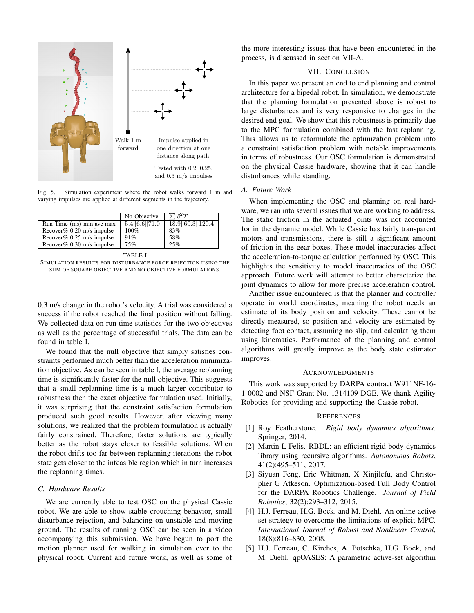

<span id="page-6-6"></span>Fig. 5. Simulation experiment where the robot walks forward 1 m and varying impulses are applied at different segments in the trajectory.

|                                | No Objective   | $\sqrt{c^2T}$   |
|--------------------------------|----------------|-----------------|
| Run Time $(ms)$ min $ ave max$ | 5.4  6.6  71.0 | 18.9 60.3 120.4 |
| Recover% $0.20$ m/s impulse    | $100\%$        | 83%             |
| Recover% $0.25$ m/s impulse    | 91%            | 58%             |
| Recover% $0.30$ m/s impulse    | 75%            | 25%             |

|--|

<span id="page-6-7"></span>SIMULATION RESULTS FOR DISTURBANCE FORCE REJECTION USING THE SUM OF SQUARE OBJECTIVE AND NO OBJECTIVE FORMULATIONS.

0.3 m/s change in the robot's velocity. A trial was considered a success if the robot reached the final position without falling. We collected data on run time statistics for the two objectives as well as the percentage of successful trials. The data can be found in table [I.](#page-6-7)

We found that the null objective that simply satisfies constraints performed much better than the acceleration minimization objective. As can be seen in table [I,](#page-6-7) the average replanning time is significantly faster for the null objective. This suggests that a small replanning time is a much larger contributor to robustness then the exact objective formulation used. Initially, it was surprising that the constraint satisfaction formulation produced such good results. However, after viewing many solutions, we realized that the problem formulation is actually fairly constrained. Therefore, faster solutions are typically better as the robot stays closer to feasible solutions. When the robot drifts too far between replanning iterations the robot state gets closer to the infeasible region which in turn increases the replanning times.

#### <span id="page-6-0"></span>*C. Hardware Results*

We are currently able to test OSC on the physical Cassie robot. We are able to show stable crouching behavior, small disturbance rejection, and balancing on unstable and moving ground. The results of running OSC can be seen in a video accompanying this submission. We have begun to port the motion planner used for walking in simulation over to the physical robot. Current and future work, as well as some of the more interesting issues that have been encountered in the process, is discussed in section [VII-A.](#page-6-8)

# VII. CONCLUSION

In this paper we present an end to end planning and control architecture for a bipedal robot. In simulation, we demonstrate that the planning formulation presented above is robust to large disturbances and is very responsive to changes in the desired end goal. We show that this robustness is primarily due to the MPC formulation combined with the fast replanning. This allows us to reformulate the optimization problem into a constraint satisfaction problem with notable improvements in terms of robustness. Our OSC formulation is demonstrated on the physical Cassie hardware, showing that it can handle disturbances while standing.

#### <span id="page-6-8"></span>*A. Future Work*

When implementing the OSC and planning on real hardware, we ran into several issues that we are working to address. The static friction in the actuated joints was not accounted for in the dynamic model. While Cassie has fairly transparent motors and transmissions, there is still a significant amount of friction in the gear boxes. These model inaccuracies affect the acceleration-to-torque calculation performed by OSC. This highlights the sensitivity to model inaccuracies of the OSC approach. Future work will attempt to better characterize the joint dynamics to allow for more precise acceleration control.

Another issue encountered is that the planner and controller operate in world coordinates, meaning the robot needs an estimate of its body position and velocity. These cannot be directly measured, so position and velocity are estimated by detecting foot contact, assuming no slip, and calculating them using kinematics. Performance of the planning and control algorithms will greatly improve as the body state estimator improves.

## ACKNOWLEDGMENTS

This work was supported by DARPA contract W911NF-16- 1-0002 and NSF Grant No. 1314109-DGE. We thank Agility Robotics for providing and supporting the Cassie robot.

#### **REFERENCES**

- <span id="page-6-1"></span>[1] Roy Featherstone. *Rigid body dynamics algorithms*. Springer, 2014.
- <span id="page-6-3"></span>[2] Martin L Felis. [RBDL: an efficient rigid-body dynamics](https://link.springer.com/article/10.1007/s10514-016-9574-0) [library using recursive algorithms.](https://link.springer.com/article/10.1007/s10514-016-9574-0) *Autonomous Robots*, 41(2):495–511, 2017.
- <span id="page-6-2"></span>[3] Siyuan Feng, Eric Whitman, X Xinjilefu, and Christopher G Atkeson. [Optimization-based Full Body Control](http://ieeexplore.ieee.org/abstract/document/7041347/) [for the DARPA Robotics Challenge.](http://ieeexplore.ieee.org/abstract/document/7041347/) *Journal of Field Robotics*, 32(2):293–312, 2015.
- <span id="page-6-5"></span>[4] H.J. Ferreau, H.G. Bock, and M. Diehl. [An online active](http://onlinelibrary.wiley.com/doi/10.1002/rnc.1251/abstract) [set strategy to overcome the limitations of explicit MPC.](http://onlinelibrary.wiley.com/doi/10.1002/rnc.1251/abstract) *International Journal of Robust and Nonlinear Control*, 18(8):816–830, 2008.
- <span id="page-6-4"></span>[5] H.J. Ferreau, C. Kirches, A. Potschka, H.G. Bock, and M. Diehl. [qpOASES: A parametric active-set algorithm](https://link.springer.com/article/10.1007/s12532-014-0071-1)